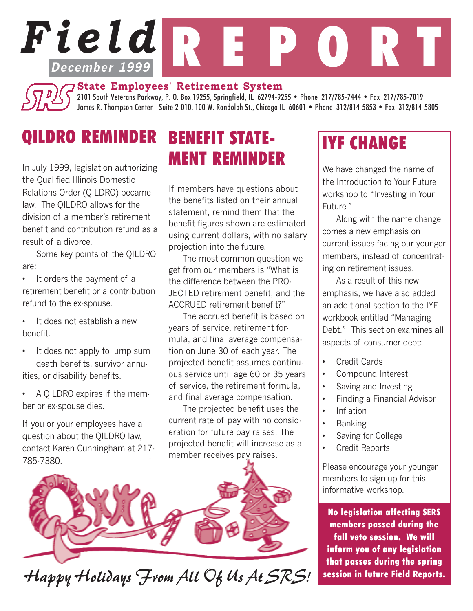# *Field* R E P O R T **December 1999**

**State Employees' Retirement System**

2101 South Veterans Parkway, P. O. Box 19255, Springfield, IL 62794-9255 • Phone 217/785-7444 • Fax 217/785-7019 James R. Thompson Center - Suite 2-010, 100 W. Randolph St., Chicago IL 60601 • Phone 312/814-5853 • Fax 312/814-5805

## QILDRO REMINDER

In July 1999, legislation authorizing the Qualified Illinois Domestic Relations Order (QILDRO) became law. The QILDRO allows for the division of a member's retirement benefit and contribution refund as a result of a divorce.

Some key points of the QILDRO are:

• It orders the payment of a retirement benefit or a contribution refund to the ex-spouse.

- It does not establish a new benefit.
- It does not apply to lump sum death benefits, survivor annuities, or disability benefits.

• A QILDRO expires if the member or ex-spouse dies.

If you or your employees have a question about the QILDRO law, contact Karen Cunningham at 217- 785-7380.

### BENEFIT STATE-MENT REMINDER

If members have questions about the benefits listed on their annual statement, remind them that the benefit figures shown are estimated using current dollars, with no salary projection into the future.

The most common question we get from our members is "What is the difference between the PRO-JECTED retirement benefit, and the ACCRUED retirement benefit?"

The accrued benefit is based on years of service, retirement formula, and final average compensation on June 30 of each year. The projected benefit assumes continuous service until age 60 or 35 years of service, the retirement formula, and final average compensation.

The projected benefit uses the current rate of pay with no consideration for future pay raises. The projected benefit will increase as a member receives pay raises.



#### Happy Holidays From All Of Us At SRS! session in future Field Reports.

## IYF CHANGE

We have changed the name of the Introduction to Your Future workshop to "Investing in Your Future."

Along with the name change comes a new emphasis on current issues facing our younger members, instead of concentrating on retirement issues.

As a result of this new emphasis, we have also added an additional section to the IYF workbook entitled "Managing Debt." This section examines all aspects of consumer debt:

- Credit Cards
- Compound Interest
- Saving and Investing
- Finding a Financial Advisor
- Inflation
- Banking
- Saving for College
- Credit Reports

Please encourage your younger members to sign up for this informative workshop.

No legislation affecting SERS members passed during the fall veto session. We will inform you of any legislation that passes during the spring